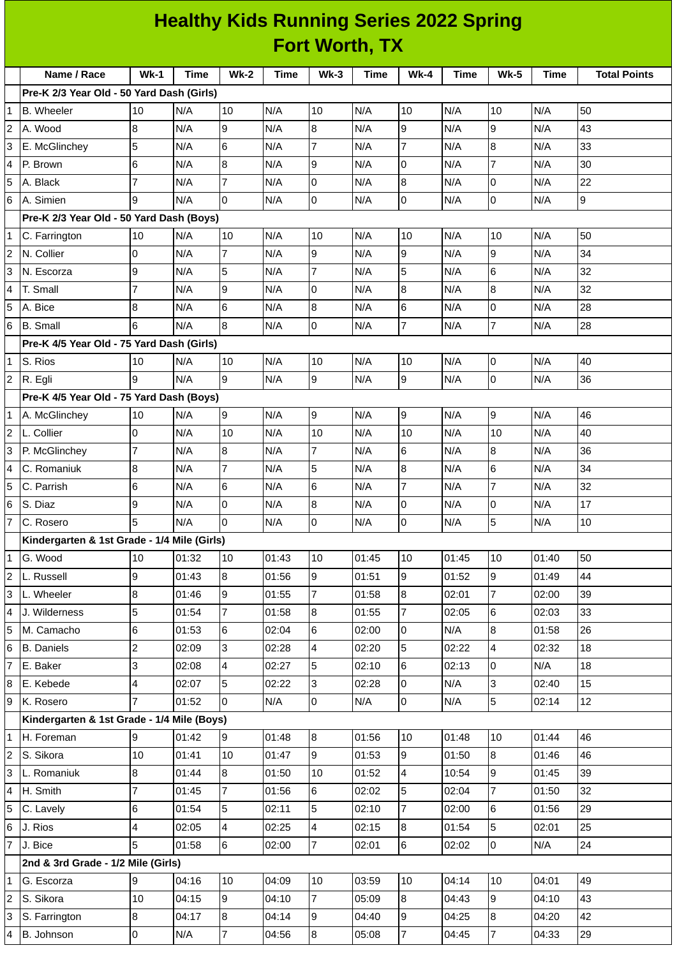|                | <b>Healthy Kids Running Series 2022 Spring</b><br><b>Fort Worth, TX</b> |                  |             |                 |             |                         |             |                |             |                |             |                     |
|----------------|-------------------------------------------------------------------------|------------------|-------------|-----------------|-------------|-------------------------|-------------|----------------|-------------|----------------|-------------|---------------------|
|                |                                                                         |                  |             |                 |             |                         |             |                |             |                |             |                     |
|                | Name / Race                                                             | $Wk-1$           | <b>Time</b> | <b>Wk-2</b>     | <b>Time</b> | $Wk-3$                  | <b>Time</b> | <b>Wk-4</b>    | <b>Time</b> | <b>Wk-5</b>    | <b>Time</b> | <b>Total Points</b> |
|                | Pre-K 2/3 Year Old - 50 Yard Dash (Girls)                               |                  |             |                 |             |                         |             |                |             |                |             |                     |
| 1              | <b>B.</b> Wheeler                                                       | 10               | N/A         | 10              | N/A         | 10                      | N/A         | 10             | N/A         | 10             | N/A         | 50                  |
| $\overline{c}$ | A. Wood                                                                 | 8                | N/A         | 9               | N/A         | $\boldsymbol{8}$        | N/A         | 9              | N/A         | 9              | N/A         | 43                  |
| 3              | E. McGlinchey                                                           | 5                | N/A         | 6               | N/A         | $\overline{7}$          | N/A         | 7              | N/A         | 8              | N/A         | 33                  |
| 4              | P. Brown                                                                | 6                | N/A         | 8               | N/A         | 9                       | N/A         | 0              | N/A         | $\overline{7}$ | N/A         | 30                  |
| 5              | A. Black                                                                | 7                | N/A         | 7               | N/A         | 0                       | N/A         | 8              | N/A         | 0              | N/A         | 22                  |
| 6              | A. Simien                                                               | 9                | N/A         | $\overline{0}$  | N/A         | Iо                      | N/A         | 0              | N/A         | 0              | N/A         | 9                   |
|                | Pre-K 2/3 Year Old - 50 Yard Dash (Boys)                                |                  |             |                 |             |                         |             |                |             |                |             |                     |
| 1              | C. Farrington                                                           | 10               | N/A         | 10              | N/A         | 10                      | N/A         | 10             | N/A         | 10             | N/A         | 50                  |
| 2              | N. Collier                                                              | 0                | N/A         | $\overline{7}$  | N/A         | 9                       | N/A         | 9              | N/A         | 9              | N/A         | 34                  |
| 3              | N. Escorza                                                              | 9                | N/A         | 5               | N/A         | 7                       | N/A         | 5              | N/A         | 6              | N/A         | 32                  |
| 4              | T. Small                                                                | 7                | N/A         | 9               | N/A         | 0                       | N/A         | 8              | N/A         | $\overline{8}$ | N/A         | 32                  |
| 5              | A. Bice                                                                 | 8                | N/A         | 6               | N/A         | 8                       | N/A         | 6              | N/A         | 0              | N/A         | 28                  |
| 6              | <b>B.</b> Small                                                         | 6                | N/A         | 8               | N/A         | 0                       | N/A         | 7              | N/A         | $\overline{7}$ | N/A         | 28                  |
|                | Pre-K 4/5 Year Old - 75 Yard Dash (Girls)                               |                  |             |                 |             |                         |             |                |             |                |             |                     |
| 1              | S. Rios                                                                 | 10               | N/A         | 10              | N/A         | 10                      | N/A         | 10             | N/A         | l0             | N/A         | 40                  |
| 2              | R. Egli                                                                 | 9                | N/A         | 9               | N/A         | 9                       | N/A         | 9              | N/A         | lo             | N/A         | 36                  |
|                | Pre-K 4/5 Year Old - 75 Yard Dash (Boys)                                |                  |             |                 |             |                         |             |                |             |                |             |                     |
| 1              | A. McGlinchey                                                           | 10               | N/A         | $\overline{9}$  | N/A         | 9                       | N/A         | 9              | N/A         | 9              | N/A         | 46                  |
| 2              | L. Collier                                                              | 0                | N/A         | 10              | N/A         | 10                      | N/A         | 10             | N/A         | 10             | N/A         | 40                  |
| 3              | P. McGlinchey                                                           | 7                | N/A         | 8               | N/A         | 7                       | N/A         | 6              | N/A         | 8              | N/A         | 36                  |
| 4              | C. Romaniuk                                                             | 8                | N/A         | 7               | N/A         | 5                       | N/A         | 8              | N/A         | 6              | N/A         | 34                  |
| 5              | C. Parrish                                                              | 6                | N/A         | 6               | N/A         | 6                       | N/A         | 7              | N/A         | $\overline{7}$ | N/A         | 32                  |
| 6              | S. Diaz                                                                 | 9                | N/A         | 0               | N/A         | 8                       | N/A         | 0              | N/A         | 0              | N/A         | 17                  |
| 7              | C. Rosero                                                               | 5                | N/A         | 0               | N/A         | O                       | N/A         | l0             | N/A         | 5              | N/A         | 10                  |
|                | Kindergarten & 1st Grade - 1/4 Mile (Girls)                             |                  |             |                 |             |                         |             |                |             |                |             |                     |
| 1              | G. Wood                                                                 | 10               | 01:32       | 10              | 01:43       | 10                      | 01:45       | 10             | 01:45       | 10             | 01:40       | 50                  |
| $\overline{c}$ | L. Russell                                                              | 9                | 01:43       | 8               | 01:56       | 9                       | 01:51       | 9              | 01:52       | 9              | 01:49       | 44                  |
| 3              | L. Wheeler                                                              | $\overline{8}$   | 01:46       | $\overline{9}$  | 01:55       | $\overline{7}$          | 01:58       | 8              | 02:01       | $\overline{7}$ | 02:00       | 39                  |
| 4              | J. Wilderness                                                           | 5                | 01:54       | $\overline{7}$  | 01:58       | 8                       | 01:55       | 7              | 02:05       | 6              | 02:03       | 33                  |
| 5              | M. Camacho                                                              | $6\phantom{a}$   | 01:53       | $6\overline{6}$ | 02:04       | $6\phantom{.}6$         | 02:00       | $\overline{0}$ | N/A         | $\bf{8}$       | 01:58       | 26                  |
| 6              | <b>B.</b> Daniels                                                       | $\overline{c}$   | 02:09       | $\overline{3}$  | 02:28       | $\overline{4}$          | 02:20       | 5              | 02:22       | $\overline{4}$ | 02:32       | 18                  |
| 7              | E. Baker                                                                | 3                | 02:08       | $\overline{4}$  | 02:27       | 5                       | 02:10       | 6              | 02:13       | 0              | N/A         | 18                  |
| 8              | E. Kebede                                                               | 4                | 02:07       | $\overline{5}$  | 02:22       | 3                       | 02:28       | 0              | N/A         | 3              | 02:40       | 15                  |
| 9              | K. Rosero                                                               | 7                | 01:52       | $\overline{0}$  | N/A         | O                       | N/A         | 0              | N/A         | 5              | 02:14       | 12                  |
|                | Kindergarten & 1st Grade - 1/4 Mile (Boys)                              |                  |             |                 |             |                         |             |                |             |                |             |                     |
| 1              | H. Foreman                                                              | 9                | 01:42       | 9               | 01:48       | 8                       | 01:56       | 10             | 01:48       | 10             | 01:44       | 46                  |
| 2              | S. Sikora                                                               | 10               | 01:41       | 10              | 01:47       | 9                       | 01:53       | 9              | 01:50       | 8              | 01:46       | 46                  |
| 3              | L. Romaniuk                                                             | 8                | 01:44       | $\bf{8}$        | 01:50       | 10                      | 01:52       | $\overline{4}$ | 10:54       | l9             | 01:45       | 39                  |
| 4              | H. Smith                                                                | $\overline{7}$   | 01:45       | $\overline{7}$  | 01:56       | $6\phantom{.}6$         | 02:02       | 5              | 02:04       | 7              | 01:50       | 32                  |
| 5              | C. Lavely                                                               | 6                | 01:54       | 5               | 02:11       | 5                       | 02:10       | 7              | 02:00       | $\,6$          | 01:56       | 29                  |
| 6              | J. Rios                                                                 | $\overline{4}$   | 02:05       | $\overline{4}$  | 02:25       | $\overline{\mathbf{4}}$ | 02:15       | 8              | 01:54       | 5              | 02:01       | 25                  |
| 7              | J. Bice                                                                 | 5                | 01:58       | 6               | 02:00       | $\overline{7}$          | 02:01       | 6              | 02:02       | 0              | N/A         | 24                  |
|                | 2nd & 3rd Grade - 1/2 Mile (Girls)                                      |                  |             |                 |             |                         |             |                |             |                |             |                     |
| 1              | G. Escorza                                                              | 9                | 04:16       | 10              | 04:09       | 10                      | 03:59       | 10             | 04:14       | 10             | 04:01       | 49                  |
| 2              | S. Sikora                                                               | 10               | 04:15       | 9               | 04:10       | 7                       | 05:09       | 8              | 04:43       | 9              | 04:10       | 43                  |
| 3              | S. Farrington                                                           | $\boldsymbol{8}$ | 04:17       | $\bf{8}$        | 04:14       | $\boldsymbol{9}$        | 04:40       | 9              | 04:25       | 8              | 04:20       | 42                  |
| 4              | B. Johnson                                                              | $\overline{0}$   | N/A         | $\overline{7}$  | 04:56       | 8                       | 05:08       | $\overline{7}$ | 04:45       | $\overline{7}$ | 04:33       | 29                  |

Ι